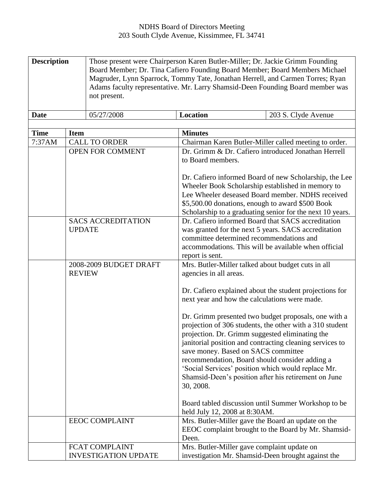| <b>Description</b> |                         | Those present were Chairperson Karen Butler-Miller; Dr. Jackie Grimm Founding  |                                                       |                                                           |  |
|--------------------|-------------------------|--------------------------------------------------------------------------------|-------------------------------------------------------|-----------------------------------------------------------|--|
|                    |                         | Board Member; Dr. Tina Cafiero Founding Board Member; Board Members Michael    |                                                       |                                                           |  |
|                    |                         | Magruder, Lynn Sparrock, Tommy Tate, Jonathan Herrell, and Carmen Torres; Ryan |                                                       |                                                           |  |
|                    |                         | Adams faculty representative. Mr. Larry Shamsid-Deen Founding Board member was |                                                       |                                                           |  |
|                    |                         | not present.                                                                   |                                                       |                                                           |  |
|                    |                         |                                                                                |                                                       |                                                           |  |
| <b>Date</b>        |                         | 05/27/2008                                                                     | <b>Location</b>                                       | 203 S. Clyde Avenue                                       |  |
|                    |                         |                                                                                |                                                       |                                                           |  |
| <b>Time</b>        | <b>Item</b>             |                                                                                | <b>Minutes</b>                                        |                                                           |  |
| 7:37AM             | <b>CALL TO ORDER</b>    |                                                                                | Chairman Karen Butler-Miller called meeting to order. |                                                           |  |
|                    | <b>OPEN FOR COMMENT</b> |                                                                                |                                                       | Dr. Grimm & Dr. Cafiero introduced Jonathan Herrell       |  |
|                    |                         |                                                                                | to Board members.                                     |                                                           |  |
|                    |                         |                                                                                |                                                       |                                                           |  |
|                    |                         |                                                                                |                                                       | Dr. Cafiero informed Board of new Scholarship, the Lee    |  |
|                    |                         |                                                                                |                                                       | Wheeler Book Scholarship established in memory to         |  |
|                    |                         |                                                                                |                                                       | Lee Wheeler deseased Board member. NDHS received          |  |
|                    |                         |                                                                                | \$5,500.00 donations, enough to award \$500 Book      |                                                           |  |
|                    |                         |                                                                                |                                                       | Scholarship to a graduating senior for the next 10 years. |  |
|                    |                         | <b>SACS ACCREDITATION</b>                                                      |                                                       | Dr. Cafiero informed Board that SACS accreditation        |  |
|                    | <b>UPDATE</b>           |                                                                                | was granted for the next 5 years. SACS accreditation  |                                                           |  |
|                    |                         |                                                                                | committee determined recommendations and              |                                                           |  |
|                    |                         |                                                                                |                                                       | accommodations. This will be available when official      |  |
|                    |                         |                                                                                | report is sent.                                       |                                                           |  |
|                    |                         | 2008-2009 BUDGET DRAFT                                                         | Mrs. Butler-Miller talked about budget cuts in all    |                                                           |  |
|                    | <b>REVIEW</b>           |                                                                                | agencies in all areas.                                |                                                           |  |
|                    |                         |                                                                                |                                                       |                                                           |  |
|                    |                         |                                                                                |                                                       | Dr. Cafiero explained about the student projections for   |  |
|                    |                         |                                                                                | next year and how the calculations were made.         |                                                           |  |
|                    |                         |                                                                                |                                                       |                                                           |  |
|                    |                         |                                                                                |                                                       | Dr. Grimm presented two budget proposals, one with a      |  |
|                    |                         |                                                                                |                                                       | projection of 306 students, the other with a 310 student  |  |
|                    |                         |                                                                                | projection. Dr. Grimm suggested eliminating the       |                                                           |  |
|                    |                         |                                                                                |                                                       | janitorial position and contracting cleaning services to  |  |
|                    |                         |                                                                                | save money. Based on SACS committee                   |                                                           |  |
|                    |                         |                                                                                | recommendation, Board should consider adding a        |                                                           |  |
|                    |                         |                                                                                |                                                       | 'Social Services' position which would replace Mr.        |  |
|                    |                         |                                                                                |                                                       | Shamsid-Deen's position after his retirement on June      |  |
|                    |                         |                                                                                | 30, 2008.                                             |                                                           |  |
|                    |                         |                                                                                |                                                       |                                                           |  |
|                    |                         |                                                                                |                                                       | Board tabled discussion until Summer Workshop to be       |  |
|                    |                         |                                                                                | held July 12, 2008 at 8:30AM.                         |                                                           |  |
|                    |                         | <b>EEOC COMPLAINT</b>                                                          |                                                       | Mrs. Butler-Miller gave the Board an update on the        |  |
|                    |                         |                                                                                |                                                       | EEOC complaint brought to the Board by Mr. Shamsid-       |  |
|                    |                         |                                                                                | Deen.                                                 |                                                           |  |
|                    |                         | <b>FCAT COMPLAINT</b>                                                          | Mrs. Butler-Miller gave complaint update on           |                                                           |  |
|                    |                         | <b>INVESTIGATION UPDATE</b>                                                    |                                                       | investigation Mr. Shamsid-Deen brought against the        |  |